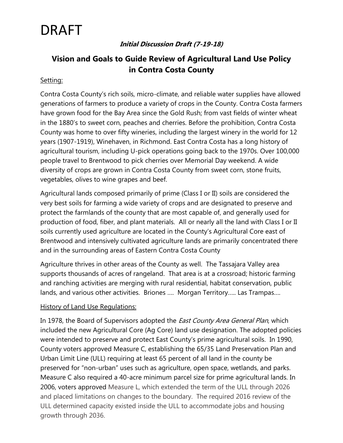## DRAFT

#### **Initial Discussion Draft (7-19-18)**

### **Vision and Goals to Guide Review of Agricultural Land Use Policy in Contra Costa County**

#### Setting:

Contra Costa County's rich soils, micro-climate, and reliable water supplies have allowed generations of farmers to produce a variety of crops in the County. Contra Costa farmers have grown food for the Bay Area since the Gold Rush; from vast fields of winter wheat in the 1880's to sweet corn, peaches and cherries. Before the prohibition, Contra Costa County was home to over fifty wineries, including the largest winery in the world for 12 years (1907-1919), Winehaven, in Richmond. East Contra Costa has a long history of agricultural tourism, including U-pick operations going back to the 1970s. Over 100,000 people travel to Brentwood to pick cherries over Memorial Day weekend. A wide diversity of crops are grown in Contra Costa County from sweet corn, stone fruits, vegetables, olives to wine grapes and beef.

Agricultural lands composed primarily of prime (Class I or II) soils are considered the very best soils for farming a wide variety of crops and are designated to preserve and protect the farmlands of the county that are most capable of, and generally used for production of food, fiber, and plant materials. All or nearly all the land with Class I or II soils currently used agriculture are located in the County's Agricultural Core east of Brentwood and intensively cultivated agriculture lands are primarily concentrated there and in the surrounding areas of Eastern Contra Costa County

Agriculture thrives in other areas of the County as well. The Tassajara Valley area supports thousands of acres of rangeland. That area is at a crossroad; historic farming and ranching activities are merging with rural residential, habitat conservation, public lands, and various other activities. Briones …. Morgan Territory….. Las Trampas….

#### **History of Land Use Regulations:**

In 1978, the Board of Supervisors adopted the *East County Area General Plan*, which included the new Agricultural Core (Ag Core) land use designation. The adopted policies were intended to preserve and protect East County's prime agricultural soils. In 1990, County voters approved Measure C, establishing the 65/35 Land Preservation Plan and Urban Limit Line (ULL) requiring at least 65 percent of all land in the county be preserved for "non-urban" uses such as agriculture, open space, wetlands, and parks. Measure C also required a 40-acre minimum parcel size for prime agricultural lands. In 2006, voters approved Measure L, which extended the term of the ULL through 2026 and placed limitations on changes to the boundary. The required 2016 review of the ULL determined capacity existed inside the ULL to accommodate jobs and housing growth through 2036.